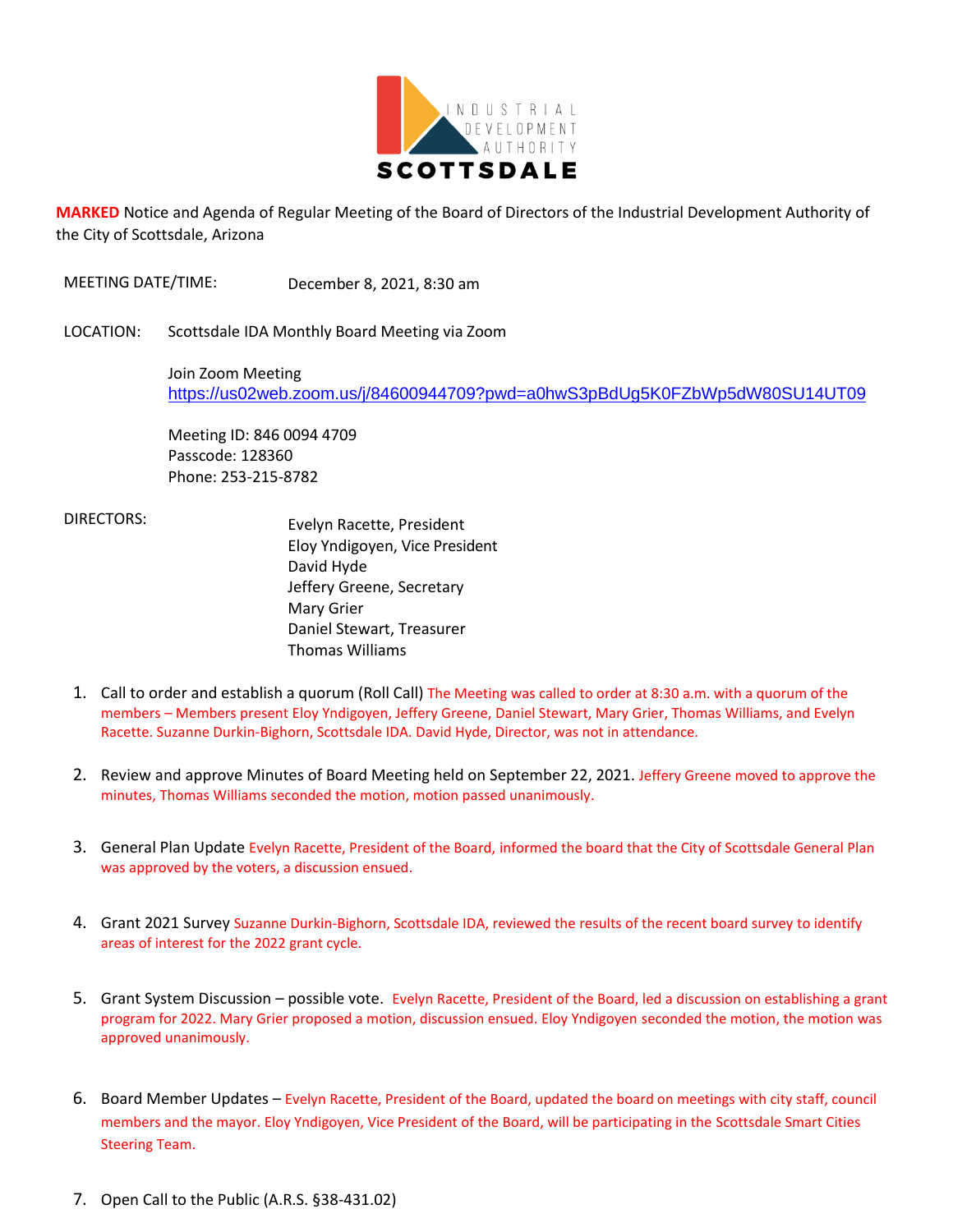

**MARKED** Notice and Agenda of Regular Meeting of the Board of Directors of the Industrial Development Authority of the City of Scottsdale, Arizona

MEETING DATE/TIME: December 8, 2021, 8:30 am

LOCATION: Scottsdale IDA Monthly Board Meeting via Zoom

Join Zoom Meeting <https://us02web.zoom.us/j/84600944709?pwd=a0hwS3pBdUg5K0FZbWp5dW80SU14UT09>

Meeting ID: 846 0094 4709 Passcode: 128360 Phone: 253-215-8782

 DIRECTORS: Evelyn Racette, President Eloy Yndigoyen, Vice President David Hyde Jeffery Greene, Secretary Mary Grier Daniel Stewart, Treasurer Thomas Williams

- 1. Call to order and establish a quorum (Roll Call) The Meeting was called to order at 8:30 a.m. with a quorum of the members – Members present Eloy Yndigoyen, Jeffery Greene, Daniel Stewart, Mary Grier, Thomas Williams, and Evelyn Racette. Suzanne Durkin-Bighorn, Scottsdale IDA. David Hyde, Director, was not in attendance.
- 2. Review and approve Minutes of Board Meeting held on September 22, 2021. Jeffery Greene moved to approve the minutes, Thomas Williams seconded the motion, motion passed unanimously.
- 3. General Plan Update Evelyn Racette, President of the Board, informed the board that the City of Scottsdale General Plan was approved by the voters, a discussion ensued.
- 4. Grant 2021 Survey Suzanne Durkin-Bighorn, Scottsdale IDA, reviewed the results of the recent board survey to identify areas of interest for the 2022 grant cycle.
- 5. Grant System Discussion possible vote. Evelyn Racette, President of the Board, led a discussion on establishing a grant program for 2022. Mary Grier proposed a motion, discussion ensued. Eloy Yndigoyen seconded the motion, the motion was approved unanimously.
- 6. Board Member Updates Evelyn Racette, President of the Board, updated the board on meetings with city staff, council members and the mayor. Eloy Yndigoyen, Vice President of the Board, will be participating in the Scottsdale Smart Cities Steering Team.
- 7. Open Call to the Public (A.R.S. §38-431.02)